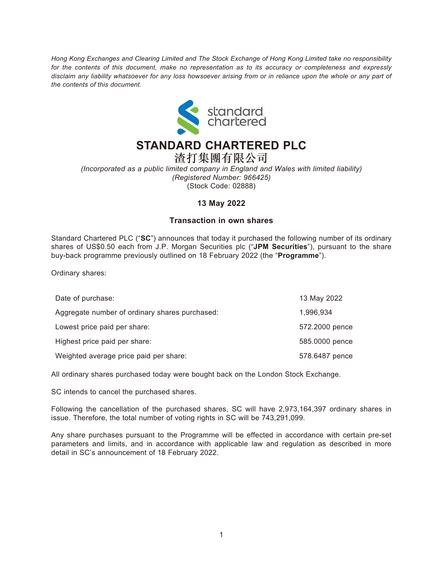*Hong Kong Exchanges and Clearing Limited and The Stock Exchange of Hong Kong Limited take no responsibility for the contents of this document, make no representation as to its accuracy or completeness and expressly disclaim any liability whatsoever for any loss howsoever arising from or in reliance upon the whole or any part of the contents of this document.*



## **STANDARD CHARTERED PLC**

渣打集團有限公司 *(Incorporated as a public limited company in England and Wales with limited liability) (Registered Number: 966425)* (Stock Code: 02888)

## **13 May 2022**

## **Transaction in own shares**

Standard Chartered PLC ("**SC**") announces that today it purchased the following number of its ordinary shares of US\$0.50 each from J.P. Morgan Securities plc ("**JPM Securities**"), pursuant to the share buy-back programme previously outlined on 18 February 2022 (the "**Programme**").

Ordinary shares:

| Date of purchase:                              | 13 May 2022    |
|------------------------------------------------|----------------|
| Aggregate number of ordinary shares purchased: | 1,996,934      |
| Lowest price paid per share:                   | 572.2000 pence |
| Highest price paid per share:                  | 585.0000 pence |
| Weighted average price paid per share:         | 578.6487 pence |

All ordinary shares purchased today were bought back on the London Stock Exchange.

SC intends to cancel the purchased shares.

Following the cancellation of the purchased shares, SC will have 2,973,164,397 ordinary shares in issue. Therefore, the total number of voting rights in SC will be 743,291,099.

Any share purchases pursuant to the Programme will be effected in accordance with certain pre-set parameters and limits, and in accordance with applicable law and regulation as described in more detail in SC's announcement of 18 February 2022.